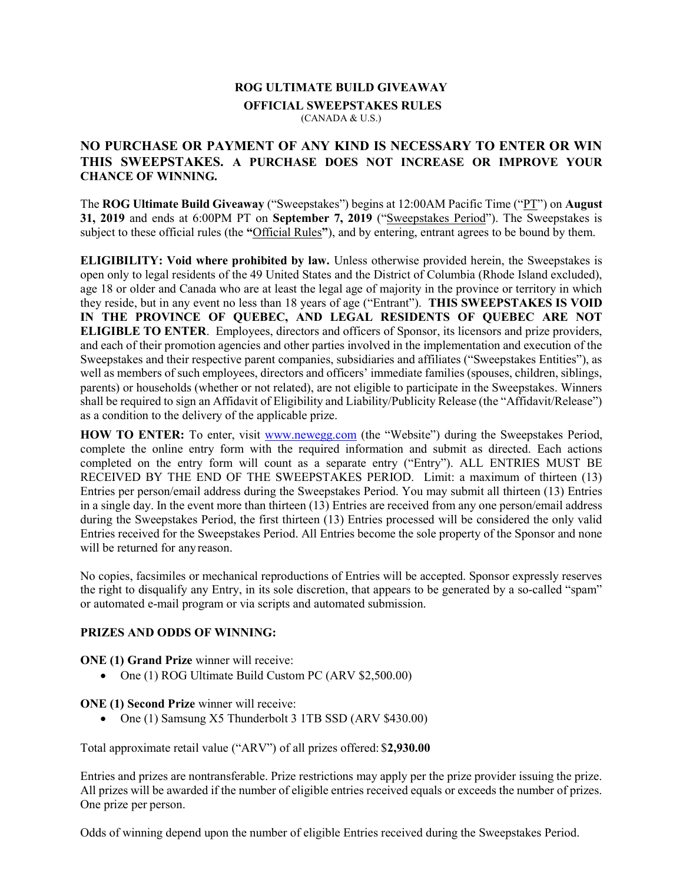#### ROG ULTIMATE BUILD GIVEAWAY

# OFFICIAL SWEEPSTAKES RULES

(CANADA & U.S.)

# NO PURCHASE OR PAYMENT OF ANY KIND IS NECESSARY TO ENTER OR WIN THIS SWEEPSTAKES. A PURCHASE DOES NOT INCREASE OR IMPROVE YOUR CHANCE OF WINNING.

The ROG Ultimate Build Giveaway ("Sweepstakes") begins at 12:00AM Pacific Time ("PT") on August 31, 2019 and ends at 6:00PM PT on September 7, 2019 ("Sweepstakes Period"). The Sweepstakes is subject to these official rules (the "Official Rules"), and by entering, entrant agrees to be bound by them.

ELIGIBILITY: Void where prohibited by law. Unless otherwise provided herein, the Sweepstakes is open only to legal residents of the 49 United States and the District of Columbia (Rhode Island excluded), age 18 or older and Canada who are at least the legal age of majority in the province or territory in which they reside, but in any event no less than 18 years of age ("Entrant"). THIS SWEEPSTAKES IS VOID IN THE PROVINCE OF QUEBEC, AND LEGAL RESIDENTS OF QUEBEC ARE NOT ELIGIBLE TO ENTER. Employees, directors and officers of Sponsor, its licensors and prize providers, and each of their promotion agencies and other parties involved in the implementation and execution of the Sweepstakes and their respective parent companies, subsidiaries and affiliates ("Sweepstakes Entities"), as well as members of such employees, directors and officers' immediate families (spouses, children, siblings, parents) or households (whether or not related), are not eligible to participate in the Sweepstakes. Winners shall be required to sign an Affidavit of Eligibility and Liability/Publicity Release (the "Affidavit/Release") as a condition to the delivery of the applicable prize.

HOW TO ENTER: To enter, visit www.newegg.com (the "Website") during the Sweepstakes Period, complete the online entry form with the required information and submit as directed. Each actions completed on the entry form will count as a separate entry ("Entry"). ALL ENTRIES MUST BE RECEIVED BY THE END OF THE SWEEPSTAKES PERIOD. Limit: a maximum of thirteen (13) Entries per person/email address during the Sweepstakes Period. You may submit all thirteen (13) Entries in a single day. In the event more than thirteen (13) Entries are received from any one person/email address during the Sweepstakes Period, the first thirteen (13) Entries processed will be considered the only valid Entries received for the Sweepstakes Period. All Entries become the sole property of the Sponsor and none will be returned for any reason.

No copies, facsimiles or mechanical reproductions of Entries will be accepted. Sponsor expressly reserves the right to disqualify any Entry, in its sole discretion, that appears to be generated by a so-called "spam" or automated e-mail program or via scripts and automated submission.

### PRIZES AND ODDS OF WINNING:

ONE (1) Grand Prize winner will receive:

• One (1) ROG Ultimate Build Custom PC (ARV \$2,500.00)

### ONE (1) Second Prize winner will receive:

• One (1) Samsung X5 Thunderbolt 3 1TB SSD (ARV \$430.00)

Total approximate retail value ("ARV") of all prizes offered: \$2,930.00

Entries and prizes are nontransferable. Prize restrictions may apply per the prize provider issuing the prize. All prizes will be awarded if the number of eligible entries received equals or exceeds the number of prizes. One prize per person.

Odds of winning depend upon the number of eligible Entries received during the Sweepstakes Period.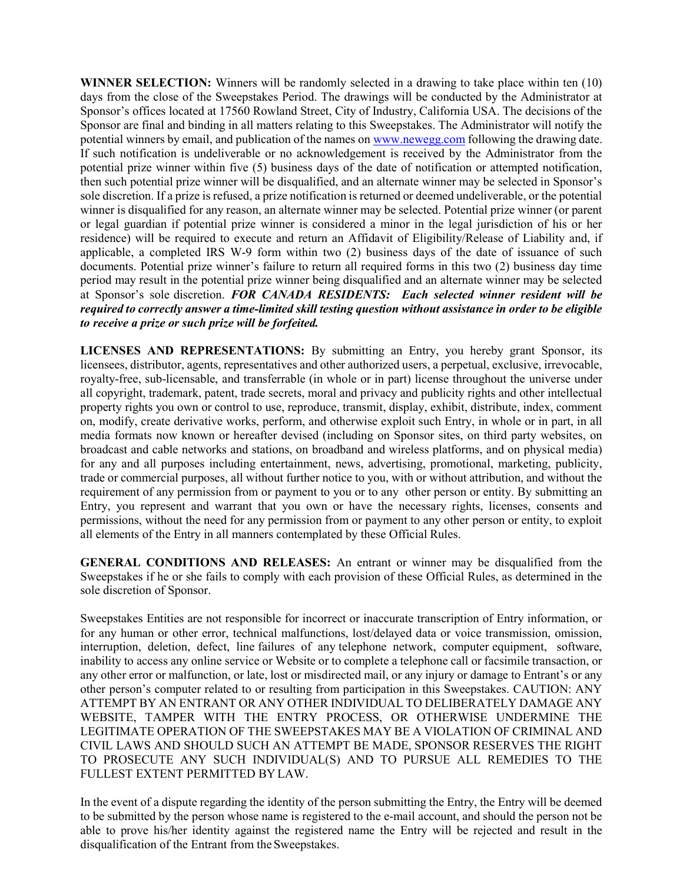WINNER SELECTION: Winners will be randomly selected in a drawing to take place within ten (10) days from the close of the Sweepstakes Period. The drawings will be conducted by the Administrator at Sponsor's offices located at 17560 Rowland Street, City of Industry, California USA. The decisions of the Sponsor are final and binding in all matters relating to this Sweepstakes. The Administrator will notify the potential winners by email, and publication of the names on www.newegg.com following the drawing date. If such notification is undeliverable or no acknowledgement is received by the Administrator from the potential prize winner within five (5) business days of the date of notification or attempted notification, then such potential prize winner will be disqualified, and an alternate winner may be selected in Sponsor's sole discretion. If a prize is refused, a prize notification is returned or deemed undeliverable, or the potential winner is disqualified for any reason, an alternate winner may be selected. Potential prize winner (or parent or legal guardian if potential prize winner is considered a minor in the legal jurisdiction of his or her residence) will be required to execute and return an Affidavit of Eligibility/Release of Liability and, if applicable, a completed IRS W-9 form within two (2) business days of the date of issuance of such documents. Potential prize winner's failure to return all required forms in this two (2) business day time period may result in the potential prize winner being disqualified and an alternate winner may be selected at Sponsor's sole discretion. FOR CANADA RESIDENTS: Each selected winner resident will be required to correctly answer a time-limited skill testing question without assistance in order to be eligible to receive a prize or such prize will be forfeited.

LICENSES AND REPRESENTATIONS: By submitting an Entry, you hereby grant Sponsor, its licensees, distributor, agents, representatives and other authorized users, a perpetual, exclusive, irrevocable, royalty-free, sub-licensable, and transferrable (in whole or in part) license throughout the universe under all copyright, trademark, patent, trade secrets, moral and privacy and publicity rights and other intellectual property rights you own or control to use, reproduce, transmit, display, exhibit, distribute, index, comment on, modify, create derivative works, perform, and otherwise exploit such Entry, in whole or in part, in all media formats now known or hereafter devised (including on Sponsor sites, on third party websites, on broadcast and cable networks and stations, on broadband and wireless platforms, and on physical media) for any and all purposes including entertainment, news, advertising, promotional, marketing, publicity, trade or commercial purposes, all without further notice to you, with or without attribution, and without the requirement of any permission from or payment to you or to any other person or entity. By submitting an Entry, you represent and warrant that you own or have the necessary rights, licenses, consents and permissions, without the need for any permission from or payment to any other person or entity, to exploit all elements of the Entry in all manners contemplated by these Official Rules.

GENERAL CONDITIONS AND RELEASES: An entrant or winner may be disqualified from the Sweepstakes if he or she fails to comply with each provision of these Official Rules, as determined in the sole discretion of Sponsor.

Sweepstakes Entities are not responsible for incorrect or inaccurate transcription of Entry information, or for any human or other error, technical malfunctions, lost/delayed data or voice transmission, omission, interruption, deletion, defect, line failures of any telephone network, computer equipment, software, inability to access any online service or Website or to complete a telephone call or facsimile transaction, or any other error or malfunction, or late, lost or misdirected mail, or any injury or damage to Entrant's or any other person's computer related to or resulting from participation in this Sweepstakes. CAUTION: ANY ATTEMPT BY AN ENTRANT OR ANY OTHER INDIVIDUAL TO DELIBERATELY DAMAGE ANY WEBSITE, TAMPER WITH THE ENTRY PROCESS, OR OTHERWISE UNDERMINE THE LEGITIMATE OPERATION OF THE SWEEPSTAKES MAY BE A VIOLATION OF CRIMINAL AND CIVIL LAWS AND SHOULD SUCH AN ATTEMPT BE MADE, SPONSOR RESERVES THE RIGHT TO PROSECUTE ANY SUCH INDIVIDUAL(S) AND TO PURSUE ALL REMEDIES TO THE FULLEST EXTENT PERMITTED BY LAW.

In the event of a dispute regarding the identity of the person submitting the Entry, the Entry will be deemed to be submitted by the person whose name is registered to the e-mail account, and should the person not be able to prove his/her identity against the registered name the Entry will be rejected and result in the disqualification of the Entrant from the Sweepstakes.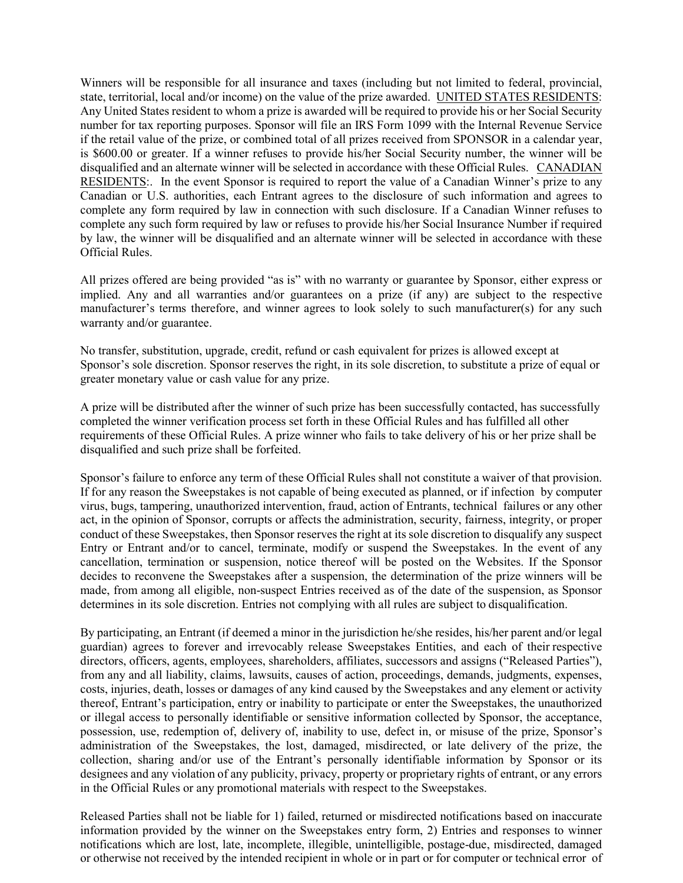Winners will be responsible for all insurance and taxes (including but not limited to federal, provincial, state, territorial, local and/or income) on the value of the prize awarded. UNITED STATES RESIDENTS: Any United States resident to whom a prize is awarded will be required to provide his or her Social Security number for tax reporting purposes. Sponsor will file an IRS Form 1099 with the Internal Revenue Service if the retail value of the prize, or combined total of all prizes received from SPONSOR in a calendar year, is \$600.00 or greater. If a winner refuses to provide his/her Social Security number, the winner will be disqualified and an alternate winner will be selected in accordance with these Official Rules. CANADIAN RESIDENTS:. In the event Sponsor is required to report the value of a Canadian Winner's prize to any Canadian or U.S. authorities, each Entrant agrees to the disclosure of such information and agrees to complete any form required by law in connection with such disclosure. If a Canadian Winner refuses to complete any such form required by law or refuses to provide his/her Social Insurance Number if required by law, the winner will be disqualified and an alternate winner will be selected in accordance with these Official Rules.

All prizes offered are being provided "as is" with no warranty or guarantee by Sponsor, either express or implied. Any and all warranties and/or guarantees on a prize (if any) are subject to the respective manufacturer's terms therefore, and winner agrees to look solely to such manufacturer(s) for any such warranty and/or guarantee.

No transfer, substitution, upgrade, credit, refund or cash equivalent for prizes is allowed except at Sponsor's sole discretion. Sponsor reserves the right, in its sole discretion, to substitute a prize of equal or greater monetary value or cash value for any prize.

A prize will be distributed after the winner of such prize has been successfully contacted, has successfully completed the winner verification process set forth in these Official Rules and has fulfilled all other requirements of these Official Rules. A prize winner who fails to take delivery of his or her prize shall be disqualified and such prize shall be forfeited.

Sponsor's failure to enforce any term of these Official Rules shall not constitute a waiver of that provision. If for any reason the Sweepstakes is not capable of being executed as planned, or if infection by computer virus, bugs, tampering, unauthorized intervention, fraud, action of Entrants, technical failures or any other act, in the opinion of Sponsor, corrupts or affects the administration, security, fairness, integrity, or proper conduct of these Sweepstakes, then Sponsor reserves the right at its sole discretion to disqualify any suspect Entry or Entrant and/or to cancel, terminate, modify or suspend the Sweepstakes. In the event of any cancellation, termination or suspension, notice thereof will be posted on the Websites. If the Sponsor decides to reconvene the Sweepstakes after a suspension, the determination of the prize winners will be made, from among all eligible, non-suspect Entries received as of the date of the suspension, as Sponsor determines in its sole discretion. Entries not complying with all rules are subject to disqualification.

By participating, an Entrant (if deemed a minor in the jurisdiction he/she resides, his/her parent and/or legal guardian) agrees to forever and irrevocably release Sweepstakes Entities, and each of their respective directors, officers, agents, employees, shareholders, affiliates, successors and assigns ("Released Parties"), from any and all liability, claims, lawsuits, causes of action, proceedings, demands, judgments, expenses, costs, injuries, death, losses or damages of any kind caused by the Sweepstakes and any element or activity thereof, Entrant's participation, entry or inability to participate or enter the Sweepstakes, the unauthorized or illegal access to personally identifiable or sensitive information collected by Sponsor, the acceptance, possession, use, redemption of, delivery of, inability to use, defect in, or misuse of the prize, Sponsor's administration of the Sweepstakes, the lost, damaged, misdirected, or late delivery of the prize, the collection, sharing and/or use of the Entrant's personally identifiable information by Sponsor or its designees and any violation of any publicity, privacy, property or proprietary rights of entrant, or any errors in the Official Rules or any promotional materials with respect to the Sweepstakes.

Released Parties shall not be liable for 1) failed, returned or misdirected notifications based on inaccurate information provided by the winner on the Sweepstakes entry form, 2) Entries and responses to winner notifications which are lost, late, incomplete, illegible, unintelligible, postage-due, misdirected, damaged or otherwise not received by the intended recipient in whole or in part or for computer or technical error of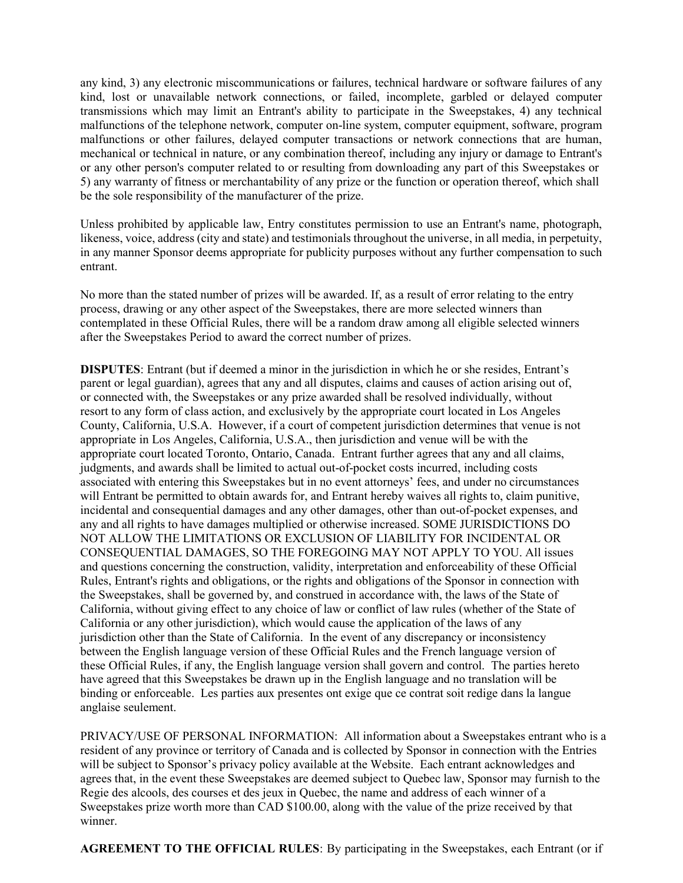any kind, 3) any electronic miscommunications or failures, technical hardware or software failures of any kind, lost or unavailable network connections, or failed, incomplete, garbled or delayed computer transmissions which may limit an Entrant's ability to participate in the Sweepstakes, 4) any technical malfunctions of the telephone network, computer on-line system, computer equipment, software, program malfunctions or other failures, delayed computer transactions or network connections that are human, mechanical or technical in nature, or any combination thereof, including any injury or damage to Entrant's or any other person's computer related to or resulting from downloading any part of this Sweepstakes or 5) any warranty of fitness or merchantability of any prize or the function or operation thereof, which shall be the sole responsibility of the manufacturer of the prize.

Unless prohibited by applicable law, Entry constitutes permission to use an Entrant's name, photograph, likeness, voice, address (city and state) and testimonials throughout the universe, in all media, in perpetuity, in any manner Sponsor deems appropriate for publicity purposes without any further compensation to such entrant.

No more than the stated number of prizes will be awarded. If, as a result of error relating to the entry process, drawing or any other aspect of the Sweepstakes, there are more selected winners than contemplated in these Official Rules, there will be a random draw among all eligible selected winners after the Sweepstakes Period to award the correct number of prizes.

DISPUTES: Entrant (but if deemed a minor in the jurisdiction in which he or she resides, Entrant's parent or legal guardian), agrees that any and all disputes, claims and causes of action arising out of, or connected with, the Sweepstakes or any prize awarded shall be resolved individually, without resort to any form of class action, and exclusively by the appropriate court located in Los Angeles County, California, U.S.A. However, if a court of competent jurisdiction determines that venue is not appropriate in Los Angeles, California, U.S.A., then jurisdiction and venue will be with the appropriate court located Toronto, Ontario, Canada. Entrant further agrees that any and all claims, judgments, and awards shall be limited to actual out-of-pocket costs incurred, including costs associated with entering this Sweepstakes but in no event attorneys' fees, and under no circumstances will Entrant be permitted to obtain awards for, and Entrant hereby waives all rights to, claim punitive, incidental and consequential damages and any other damages, other than out-of-pocket expenses, and any and all rights to have damages multiplied or otherwise increased. SOME JURISDICTIONS DO NOT ALLOW THE LIMITATIONS OR EXCLUSION OF LIABILITY FOR INCIDENTAL OR CONSEQUENTIAL DAMAGES, SO THE FOREGOING MAY NOT APPLY TO YOU. All issues and questions concerning the construction, validity, interpretation and enforceability of these Official Rules, Entrant's rights and obligations, or the rights and obligations of the Sponsor in connection with the Sweepstakes, shall be governed by, and construed in accordance with, the laws of the State of California, without giving effect to any choice of law or conflict of law rules (whether of the State of California or any other jurisdiction), which would cause the application of the laws of any jurisdiction other than the State of California. In the event of any discrepancy or inconsistency between the English language version of these Official Rules and the French language version of these Official Rules, if any, the English language version shall govern and control. The parties hereto have agreed that this Sweepstakes be drawn up in the English language and no translation will be binding or enforceable. Les parties aux presentes ont exige que ce contrat soit redige dans la langue anglaise seulement.

PRIVACY/USE OF PERSONAL INFORMATION: All information about a Sweepstakes entrant who is a resident of any province or territory of Canada and is collected by Sponsor in connection with the Entries will be subject to Sponsor's privacy policy available at the Website. Each entrant acknowledges and agrees that, in the event these Sweepstakes are deemed subject to Quebec law, Sponsor may furnish to the Regie des alcools, des courses et des jeux in Quebec, the name and address of each winner of a Sweepstakes prize worth more than CAD \$100.00, along with the value of the prize received by that winner.

AGREEMENT TO THE OFFICIAL RULES: By participating in the Sweepstakes, each Entrant (or if